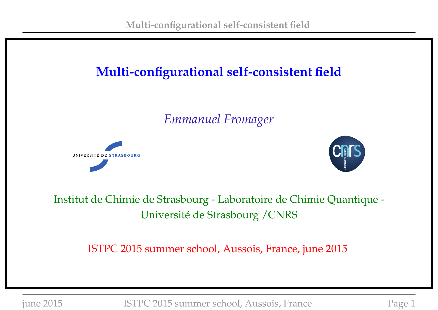## **Multi-configurational self-consistent field**

*Emmanuel Fromager*





Institut de Chimie de Strasbourg - Laboratoire de Chimie Quantique - Université de Strasbourg /CNRS

ISTPC 2015 summer school, Aussois, France, june 2015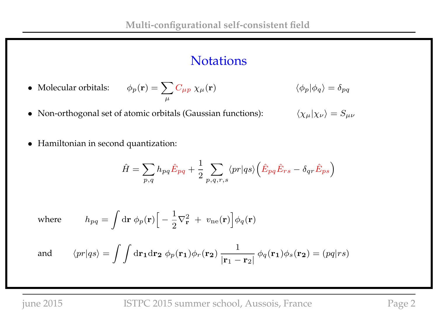#### **Notations**

- Molecular orbitals:  $\phi_p({\bf r})=\sum_{\mu}C_{\mu p}\;\chi_{\mu}({\bf r})$  $\langle \phi_p | \phi_q \rangle = \delta_{pq}$
- Non-orthogonal set of atomic orbitals (Gaussian functions):  $\langle \chi_{\mu} | \chi_{\nu} \rangle = S_{\mu\nu}$ 
	-

• Hamiltonian in second quantization:

$$
\hat{H} = \sum_{p,q} h_{pq} \hat{E}_{pq} + \frac{1}{2} \sum_{p,q,r,s} \langle pr | qs \rangle \left( \hat{E}_{pq} \hat{E}_{rs} - \delta_{qr} \hat{E}_{ps} \right)
$$

where 
$$
h_{pq} = \int d\mathbf{r} \phi_p(\mathbf{r}) \Big[ -\frac{1}{2} \nabla_{\mathbf{r}}^2 + v_{ne}(\mathbf{r}) \Big] \phi_q(\mathbf{r})
$$

and 
$$
\langle pr|qs \rangle = \int \int dr_1 dr_2 \phi_p(\mathbf{r}_1) \phi_r(\mathbf{r}_2) \frac{1}{|\mathbf{r}_1 - \mathbf{r}_2|} \phi_q(\mathbf{r}_1) \phi_s(\mathbf{r}_2) = (pq|rs)
$$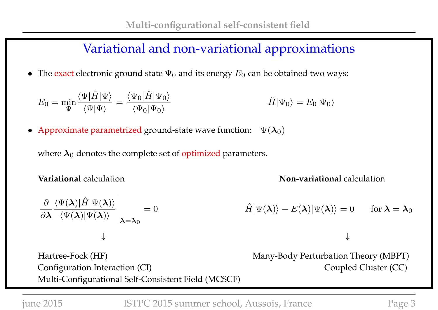#### Variational and non-variational approximations

• The exact electronic ground state  $\Psi_0$  and its energy  $E_0$  can be obtained two ways:

$$
E_0 = \min_{\Psi} \frac{\langle \Psi | \hat{H} | \Psi \rangle}{\langle \Psi | \Psi \rangle} = \frac{\langle \Psi_0 | \hat{H} | \Psi_0 \rangle}{\langle \Psi_0 | \Psi_0 \rangle} \qquad \hat{H} | \Psi_0 \rangle = E_0 | \Psi_0 \rangle
$$

• Approximate parametrized ground-state wave function:  $\Psi(\lambda_0)$ 

where  $\lambda_0$  denotes the complete set of optimized parameters.

**Variational** calculation **Non-variational** calculation

$$
\frac{\partial}{\partial \lambda} \frac{\langle \Psi(\lambda)|\hat{H}|\Psi(\lambda)\rangle}{\langle \Psi(\lambda)|\Psi(\lambda)\rangle} \bigg|_{\lambda=\lambda_0} = 0
$$
\n
$$
\hat{H}|\Psi(\lambda)\rangle - E(\lambda)|\Psi(\lambda)\rangle = 0 \quad \text{for } \lambda = \lambda_0
$$

Hartree-Fock (HF) Many-Body Perturbation Theory (MBPT) Configuration Interaction (CI) Coupled Cluster (CC) Multi-Configurational Self-Consistent Field (MCSCF)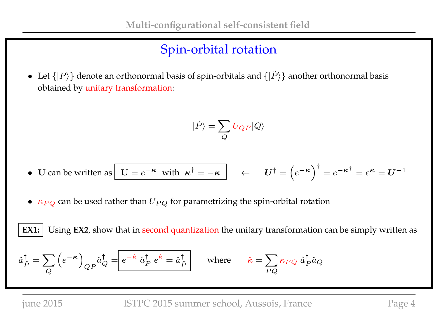## Spin-orbital rotation

• Let  $\{|P\rangle\}$  denote an orthonormal basis of spin-orbitals and  $\{|\tilde{P}\rangle\}$  another orthonormal basis obtained by unitary transformation:

$$
|\tilde{P}\rangle=\sum_{Q}U_{QP}|Q\rangle
$$

• U can be written as 
$$
\boxed{U = e^{-\kappa} \text{ with } \kappa^{\dagger} = -\kappa}
$$
  $\leftarrow$   $U^{\dagger} = (e^{-\kappa})^{\dagger} = e^{-\kappa^{\dagger}} = e^{\kappa} = U^{-1}$ 

•  $\kappa_{PQ}$  can be used rather than  $U_{PQ}$  for parametrizing the spin-orbital rotation

**EX1:** Using **EX2**, show that in second quantization the unitary transformation can be simply written as

$$
\hat{a}_{\tilde{P}}^{\dagger} = \sum_{Q} \left( e^{-\kappa} \right)_{QP} \hat{a}_{Q}^{\dagger} = \boxed{e^{-\hat{\kappa}} \hat{a}_{P}^{\dagger} e^{\hat{\kappa}} = \hat{a}_{\tilde{P}}^{\dagger}} \quad \text{where} \quad \hat{\kappa} = \sum_{PQ} \kappa_{PQ} \hat{a}_{P}^{\dagger} \hat{a}_{Q}
$$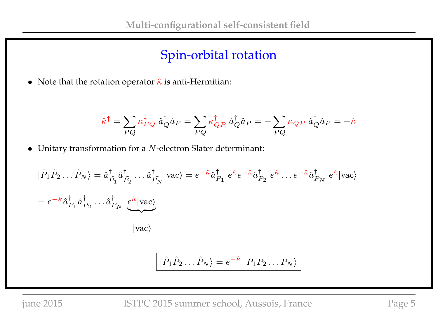### Spin-orbital rotation

• Note that the rotation operator  $\hat{\kappa}$  is anti-Hermitian:

$$
\hat{\kappa}^{\dagger}=\sum_{PQ}\kappa_{PQ}^*\;\hat{a}_{Q}^{\dagger}\hat{a}_{P}=\sum_{PQ}\kappa_{QP}^{\dagger}\;\hat{a}_{Q}^{\dagger}\hat{a}_{P}=-\sum_{PQ}\kappa_{QP}\;\hat{a}_{Q}^{\dagger}\hat{a}_{P}=-\hat{\kappa}
$$

 $\bullet~$  Unitary transformation for a  $N$  -electron Slater determinant:

$$
\begin{split}\n|\tilde{P}_{1}\tilde{P}_{2}\dots\tilde{P}_{N}\rangle &= \hat{a}_{\tilde{P}_{1}}^{\dagger}\hat{a}_{\tilde{P}_{2}}^{\dagger}\dots\hat{a}_{\tilde{P}_{N}}^{\dagger}|\text{vac}\rangle = e^{-\hat{\kappa}}\hat{a}_{P_{1}}^{\dagger}e^{\hat{\kappa}}e^{-\hat{\kappa}}\hat{a}_{P_{2}}^{\dagger}e^{\hat{\kappa}}\dots e^{-\hat{\kappa}}\hat{a}_{P_{N}}^{\dagger}e^{\hat{\kappa}}|\text{vac}\rangle \\
&= e^{-\hat{\kappa}}\hat{a}_{P_{1}}^{\dagger}\hat{a}_{P_{2}}^{\dagger}\dots\hat{a}_{P_{N}}^{\dagger}\underbrace{e^{\hat{\kappa}}|\text{vac}\rangle}_{|\text{vac}\rangle}\n\end{split}
$$

$$
\left| \tilde{P}_1 \tilde{P}_2 \dots \tilde{P}_N \right\rangle = e^{-\hat{\kappa}} \left| P_1 P_2 \dots P_N \right\rangle
$$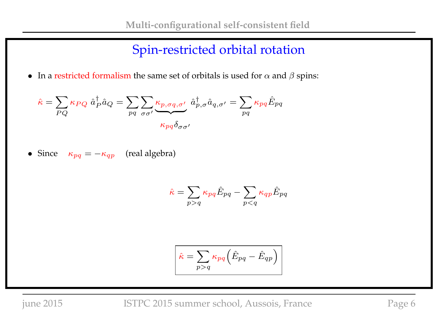### Spin-restricted orbital rotation

• In a restricted formalism the same set of orbitals is used for  $\alpha$  and  $\beta$  spins:

$$
\hat{\kappa} = \sum_{PQ} \kappa_{PQ} \hat{a}_P^{\dagger} \hat{a}_Q = \sum_{pq} \sum_{\sigma\sigma'} \underbrace{\kappa_{p,\sigma q,\sigma'}}_{\kappa_{pq} \delta_{\sigma\sigma'}} \hat{a}_{p,\sigma}^{\dagger} \hat{a}_{q,\sigma'} = \sum_{pq} \kappa_{pq} \hat{E}_{pq}
$$

• Since  $\kappa_{pq} = -\kappa_{qp}$  (real algebra)

$$
\hat{\kappa} = \sum_{p>q} \kappa_{pq} \hat{E}_{pq} - \sum_{p
$$

$$
\hat{\kappa} = \sum_{p>q} \kappa_{pq} (\hat{E}_{pq} - \hat{E}_{qp})
$$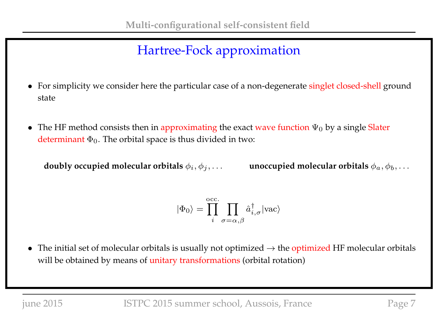- For simplicity we consider here the particular case of a non-degenerate singlet closed-shell ground state
- The HF method consists then in approximating the exact wave function  $\Psi_0$  by a single Slater determinant  $\Phi_0$ . The orbital space is thus divided in two:

**doubly occupied molecular orbitals**  $\phi_i, \phi_j, \ldots$  **unoccupied molecular orbitals**  $\phi_a, \phi_b, \ldots$ 

$$
|\Phi_0\rangle = \prod_{i}^{\mathrm{occ.}} \prod_{\sigma=\alpha,\beta} \hat{a}_{i,\sigma}^\dagger |\mathrm{vac}\rangle
$$

• The initial set of molecular orbitals is usually not optimized  $\rightarrow$  the optimized HF molecular orbitals will be obtained by means of unitary transformations (orbital rotation)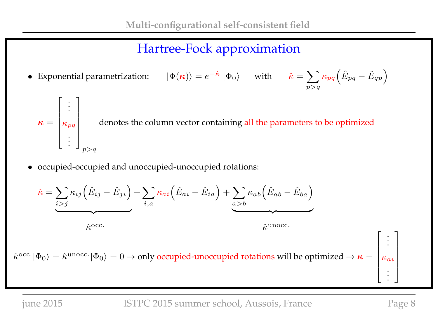$p>q$ 

• Exponential parametrization:  $|\Phi(\kappa)\rangle = e^{-\hat{\kappa}} |\Phi_0\rangle$  with  $\hat{\kappa} = \sum$  $\kappa_{pq}\Big(\hat{E}_{pq}-\hat{E}_{qp}\Big).$ 

 $\kappa =$  $\sqrt{ }$  $\overline{1}$  $\left| \right|$  $\overline{1}$  $\left| \right|$  $\overline{1}$ . .  $\kappa_{pq}$ . . . 1  $\mathbf{I}$  $\overline{1}$  $\left| \right|$  $\overline{1}$  $\overline{1}$  $p>q$ denotes the column vector containing all the parameters to be optimized

• occupied-occupied and unoccupied-unoccupied rotations:

$$
\hat{\kappa} = \sum_{i > j} \kappa_{ij} (\hat{E}_{ij} - \hat{E}_{ji}) + \sum_{i,a} \kappa_{ai} (\hat{E}_{ai} - \hat{E}_{ia}) + \sum_{a > b} \kappa_{ab} (\hat{E}_{ab} - \hat{E}_{ba})
$$
  

$$
\hat{\kappa}^{occ.}
$$

$$
\hat{\kappa}^{unc.}
$$

 $\hat\kappa^{\rm occ.}|\Phi_0\rangle=\hat\kappa^{\rm unocc.}|\Phi_0\rangle=0\to$  only occupied-unoccupied rotations will be optimized  $\to\bm\kappa=0$  $\left| \right|$  $\left| \right|$  $\left| \right|$  $\left| \right|$ 

.

 $\overline{1}$ 

 $\kappa_{ai}$ 

 $\vert$  $\left| \right|$  $\perp$  $\vert$  $\vert$ 

. . .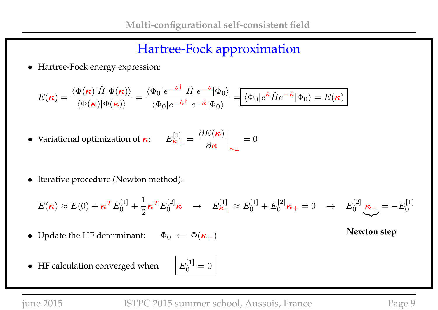• Hartree-Fock energy expression:

$$
E(\boldsymbol{\kappa}) = \frac{\langle \Phi(\boldsymbol{\kappa}) | \hat{H} | \Phi(\boldsymbol{\kappa}) \rangle}{\langle \Phi(\boldsymbol{\kappa}) | \Phi(\boldsymbol{\kappa}) \rangle} = \frac{\langle \Phi_0 | e^{-\hat{\kappa}^\dagger} \hat{H} \ e^{-\hat{\kappa}} | \Phi_0 \rangle}{\langle \Phi_0 | e^{-\hat{\kappa}^\dagger} \ e^{-\hat{\kappa}} | \Phi_0 \rangle} = \boxed{\langle \Phi_0 | e^{\hat{\kappa}} \hat{H} e^{-\hat{\kappa}} | \Phi_0 \rangle = E(\boldsymbol{\kappa})}
$$

• Variational optimization of  $\kappa$ :

$$
\frac{[1]}{{\boldsymbol{\kappa}}_+} = \left. \frac{\partial E({\boldsymbol{\kappa}})}{\partial{\boldsymbol{\kappa}}} \right|_{{\boldsymbol{\kappa}}_+} = 0
$$

• Iterative procedure (Newton method):

$$
E(\kappa) \approx E(0) + \kappa^T E_0^{[1]} + \frac{1}{2} \kappa^T E_0^{[2]} \kappa \quad \rightarrow \quad E_{\kappa_+}^{[1]} \approx E_0^{[1]} + E_0^{[2]} \kappa_+ = 0 \quad \rightarrow \quad E_0^{[2]} \underbrace{\kappa_+}_{\sim} = -E_0^{[1]}
$$

- Update the HF determinant:  $\Phi_0 \leftarrow \Phi(\kappa_+)$  Newton step
- HF calculation converged when

$$
E_0^{[1]}=0
$$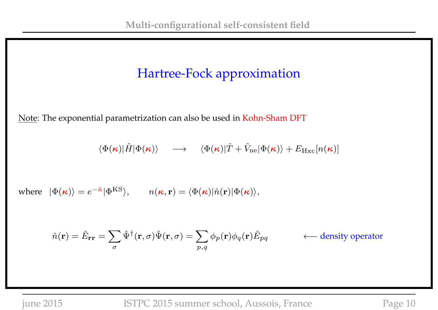Note: The exponential parametrization can also be used in Kohn-Sham DFT

$$
\langle \Phi(\mathbf{\kappa})|\hat{H}|\Phi(\mathbf{\kappa})\rangle \quad \longrightarrow \quad \langle \Phi(\mathbf{\kappa})|\hat{T}+\hat{V}_{\mathrm{ne}}|\Phi(\mathbf{\kappa})\rangle + E_{\mathrm{Hxc}}[n(\mathbf{\kappa})]
$$

where  $|\Phi(\kappa)\rangle = e^{-\hat{\kappa}} |\Phi^{\text{KS}}\rangle$ ,  $n(\kappa, \mathbf{r}) = \langle \Phi(\kappa)|\hat{n}(\mathbf{r})|\Phi(\kappa)\rangle$ ,

$$
\hat{n}(\mathbf{r}) = \hat{E}_{\mathbf{r}\mathbf{r}} = \sum_{\sigma} \hat{\Psi}^{\dagger}(\mathbf{r}, \sigma) \hat{\Psi}(\mathbf{r}, \sigma) = \sum_{p,q} \phi_p(\mathbf{r}) \phi_q(\mathbf{r}) \hat{E}_{pq} \qquad \longleftarrow \text{density operator}
$$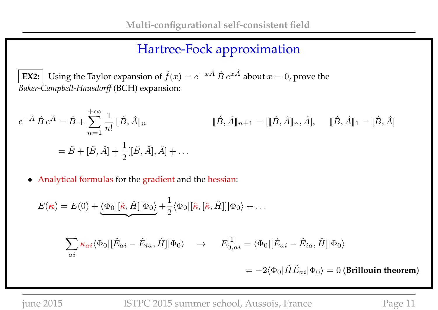**EX2:** Using the Taylor expansion of  $\hat{f}(x) = e^{-x\hat{A}} \hat{B} e^{x\hat{A}}$  about  $x = 0$ , prove the *Baker-Campbell-Hausdorff* (BCH) expansion:

$$
e^{-\hat{A}}\,\hat{B}\,e^{\hat{A}} = \hat{B} + \sum_{n=1}^{+\infty} \frac{1}{n!} \left[\hat{B}, \hat{A}\right]_{n} \qquad \qquad [\hat{B}, \hat{A}\right]_{n+1} = \left[\left[\hat{B}, \hat{A}\right]_{n}, \hat{A}\right], \quad [\hat{B}, \hat{A}\right]_{1} = [\hat{B}, \hat{A}]
$$

$$
= \hat{B} + [\hat{B}, \hat{A}] + \frac{1}{2} [[\hat{B}, \hat{A}], \hat{A}] + \dots
$$

• Analytical formulas for the gradient and the hessian:

$$
E(\kappa) = E(0) + \underbrace{\langle \Phi_0 | [\hat{\kappa}, \hat{H}] | \Phi_0 \rangle}_{ai} + \frac{1}{2} \langle \Phi_0 | [\hat{\kappa}, [\hat{\kappa}, \hat{H}]] | \Phi_0 \rangle + \dots
$$
\n
$$
\sum_{ai} \kappa_{ai} \langle \Phi_0 | [\hat{E}_{ai} - \hat{E}_{ia}, \hat{H}] | \Phi_0 \rangle \rightarrow E_{0,ai}^{[1]} = \langle \Phi_0 | [\hat{E}_{ai} - \hat{E}_{ia}, \hat{H}] | \Phi_0 \rangle
$$

 $= -2\langle \Phi_0|\hat{H}\hat{E}_{ai}|\Phi_0\rangle = 0$  (Brillouin theorem)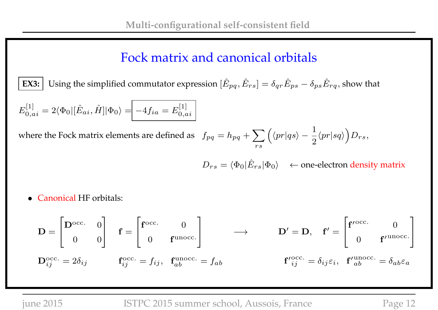### Fock matrix and canonical orbitals

**EX3:** Using the simplified commutator expression  $[\hat{E}_{pq}, \hat{E}_{rs}] = \delta_{qr}\hat{E}_{ps} - \delta_{ps}\hat{E}_{rq}$ , show that

$$
E_{0,ai}^{[1]} = 2\langle \Phi_0 | [\hat{E}_{ai}, \hat{H}] | \Phi_0 \rangle = -4f_{ia} = E_{0,ai}^{[1]}
$$

where the Fock matrix elements are defined as  $f_{pq} = h_{pq} + \sum$ rs  $\int \langle p r | q s \rangle - \frac{1}{2}$ 2  $\langle pr|sq\rangle D_{rs},$ 

 $D_{rs} = \langle \Phi_0 | \hat{E}_{rs} | \Phi_0 \rangle$  ← one-electron density matrix

• Canonical HF orbitals:

$$
\mathbf{D} = \begin{bmatrix} \mathbf{D}^{\text{occ.}} & 0 \\ 0 & 0 \end{bmatrix} \quad \mathbf{f} = \begin{bmatrix} \mathbf{f}^{\text{occ.}} & 0 \\ 0 & \mathbf{f}^{\text{unocc.}} \end{bmatrix} \longrightarrow \qquad \mathbf{D}' = \mathbf{D}, \quad \mathbf{f}' = \begin{bmatrix} \mathbf{f}'^{\text{occ.}} & 0 \\ 0 & \mathbf{f}'^{\text{unocc.}} \end{bmatrix}
$$

$$
\mathbf{D}_{ij}^{\text{occ.}} = 2\delta_{ij} \qquad \mathbf{f}_{ij}^{\text{occ.}} = f_{ij}, \quad \mathbf{f}_{ab}^{\text{unocc.}} = f_{ab} \qquad \qquad \mathbf{f'}_{ij}^{\text{occ.}} = \delta_{ij}\varepsilon_i, \quad \mathbf{f'}_{ab}^{\text{unocc.}} = \delta_{ab}\varepsilon_a
$$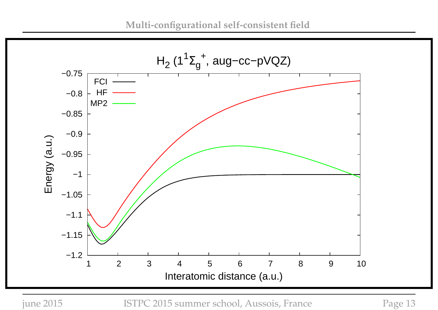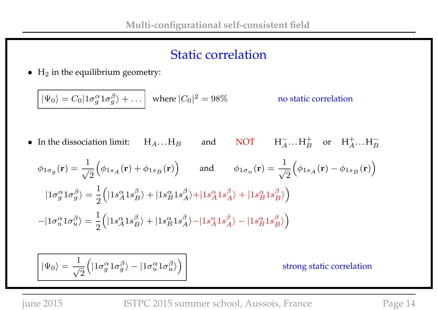#### Static correlation

 $\bullet$  H<sub>2</sub> in the equilibrium geometry:

$$
|\Psi_0\rangle = C_0 |1\sigma_g^{\alpha} 1\sigma_g^{\beta}\rangle + \dots
$$
 where  $|C_0|^2 = 98\%$  no static correlation

• In the dissociation limit:  $H_A...H_B$  and NOT  $H_A^ \overline{A} \cdots H_B^+$  or  $H_A^+ \cdots H_B^-$ 

$$
\phi_{1\sigma_g}(\mathbf{r}) = \frac{1}{\sqrt{2}} \Big( \phi_{1s_A}(\mathbf{r}) + \phi_{1s_B}(\mathbf{r}) \Big) \quad \text{and} \quad \phi_{1\sigma_u}(\mathbf{r}) = \frac{1}{\sqrt{2}} \Big( \phi_{1s_A}(\mathbf{r}) - \phi_{1s_B}(\mathbf{r}) \Big)
$$
  

$$
|1\sigma_g^{\alpha}1\sigma_g^{\beta}\rangle = \frac{1}{2} \Big( |1s_A^{\alpha}1s_B^{\beta}\rangle + |1s_B^{\alpha}1s_A^{\beta}\rangle + |1s_A^{\alpha}1s_A^{\beta}\rangle + |1s_B^{\alpha}1s_B^{\beta}\rangle \Big)
$$
  

$$
-|1\sigma_u^{\alpha}1\sigma_u^{\beta}\rangle = \frac{1}{2} \Big( |1s_A^{\alpha}1s_B^{\beta}\rangle + |1s_B^{\alpha}1s_A^{\beta}\rangle - |1s_A^{\alpha}1s_A^{\beta}\rangle - |1s_B^{\alpha}1s_B^{\beta}\rangle \Big)
$$

$$
\bigg|\ket{\Psi_0}=\frac{1}{\sqrt{2}}\Big(\ket{1\sigma_g^\alpha 1\sigma_g^\beta}-\ket{1\sigma_u^\alpha 1\sigma_u^\beta}\Big)
$$

strong static correlation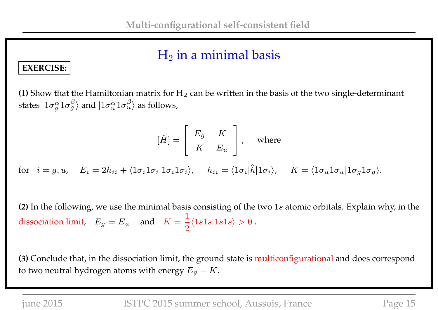#### $H_2$  in a minimal basis

#### **EXERCISE:**

**(1)** Show that the Hamiltonian matrix for  $H_2$  can be written in the basis of the two single-determinant states  $|1\sigma^\alpha_q\>$  $\frac{\alpha}{g}1\sigma_{g}^{\beta}\rangle$  and  $|1\sigma_{u}^{\alpha}1\sigma_{u}^{\beta}\rangle$  as follows,

$$
[\hat{H}] = \left[ \begin{array}{cc} E_g & K \\ K & E_u \end{array} \right], \quad \text{where}
$$

 $\text{for} \hspace{0.3cm} i = g,u, \hspace{0.3cm} E_i = 2h_{ii} + \langle 1\sigma_i 1\sigma_i | 1\sigma_i 1\sigma_i \rangle, \hspace{0.3cm} h_{ii} = \langle 1\sigma_i | \hat{h} | 1\sigma_i \rangle, \hspace{0.3cm} K = \langle 1\sigma_u 1\sigma_u | 1\sigma_g 1\sigma_g \rangle.$ 

**(2)** In the following, we use the minimal basis consisting of the two 1s atomic orbitals. Explain why, in the dissociation limit,  $E_g = E_u$  and  $K =$ 1 2  $\langle 1s1s|1s1s \rangle > 0$ .

**(3)** Conclude that, in the dissociation limit, the ground state is multiconfigurational and does correspond to two neutral hydrogen atoms with energy  $E_g - K$ .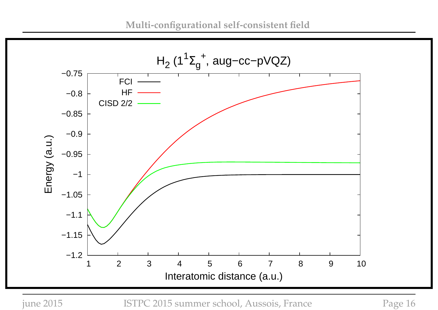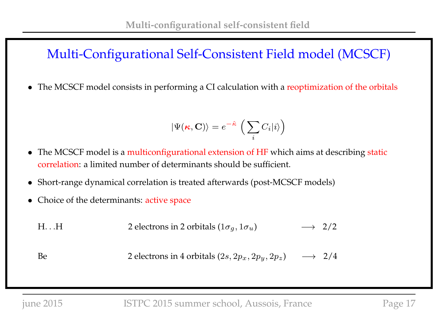#### Multi-Configurational Self-Consistent Field model (MCSCF)

• The MCSCF model consists in performing a CI calculation with a reoptimization of the orbitals

$$
|\Psi(\mathbf{\kappa}, \mathbf{C})\rangle = e^{-\hat{\kappa}} \left(\sum_i C_i |i\rangle\right)
$$

- The MCSCF model is a multiconfigurational extension of HF which aims at describing static correlation: a limited number of determinants should be sufficient.
- Short-range dynamical correlation is treated afterwards (post-MCSCF models)
- Choice of the determinants: active space
	- H. . H 2 electrons in 2 orbitals  $(1\sigma_g, 1\sigma_u) \rightarrow 2/2$
	- Be 2 electrons in 4 orbitals  $(2s, 2p_x, 2p_y, 2p_z) \rightarrow 2/4$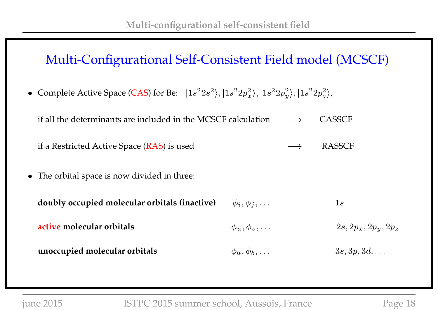#### Multi-Configurational Self-Consistent Field model (MCSCF)

• Complete Active Space (CAS) for Be:  $|1s^22s^2\rangle, |1s^22p_x^2\rangle, |1s^22p_y^2\rangle$  $\langle x^2\rangle, |1s^2 2p_z^2\rangle$  $\binom{2}{z}$ ,

| if all the determinants are included in the MCSCF calculation $\longrightarrow$ | <b>CASSCF</b> |
|---------------------------------------------------------------------------------|---------------|
| if a Restricted Active Space (RAS) is used                                      | <b>RASSCF</b> |
| • The orbital space is now divided in three:                                    |               |

| doubly occupied molecular orbitals (inactive) | $\phi_i, \phi_j, \ldots$ | $\perp s$            |
|-----------------------------------------------|--------------------------|----------------------|
| active molecular orbitals                     | $\phi_u, \phi_v, \ldots$ | $2s,2p_x,2p_y,2p_z$  |
| unoccupied molecular orbitals                 | $\phi_a, \phi_b, \ldots$ | $3s, 3p, 3d, \ldots$ |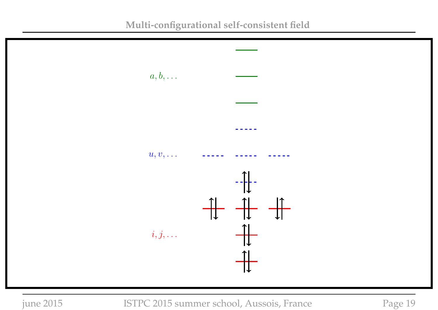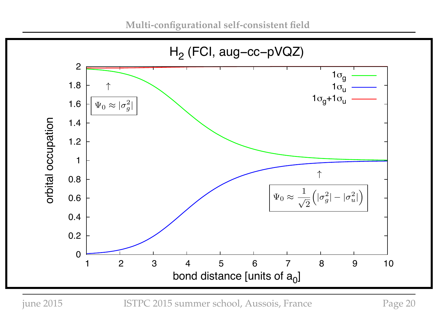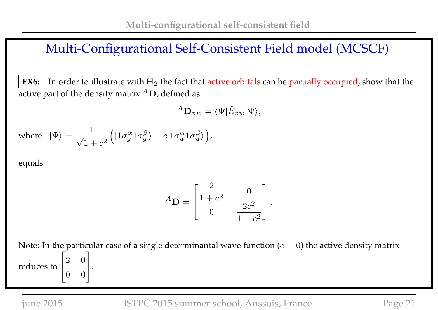#### Multi-Configurational Self-Consistent Field model (MCSCF)

**EX6:** In order to illustrate with  $H_2$  the fact that active orbitals can be partially occupied, show that the active part of the density matrix  ${}^A\mathbf{D}$ , defined as

$$
{}^A\mathbf{D}_{vw} = \langle \Psi | \hat{E}_{vw} | \Psi \rangle,
$$

where 
$$
|\Psi\rangle = \frac{1}{\sqrt{1+c^2}} \Big( |1\sigma_g^{\alpha} 1\sigma_g^{\beta} \rangle - c |1\sigma_u^{\alpha} 1\sigma_u^{\beta} \rangle \Big),
$$

equals

$$
{}^{A}\mathbf{D} = \begin{bmatrix} \frac{2}{1+c^2} & 0 \\ 0 & \frac{2c^2}{1+c^2} \end{bmatrix}.
$$

Note: In the particular case of a single determinantal wave function ( $c = 0$ ) the active density matrix reduces to  $\sqrt{ }$  $\overline{1}$ 2 0 0 0 1  $\vert \cdot$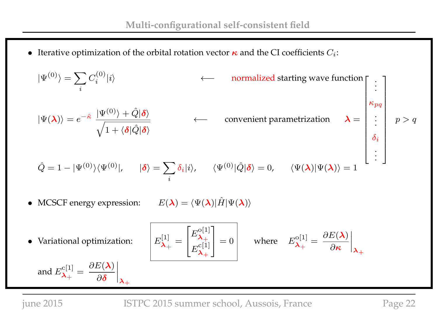• Iterative optimization of the orbital rotation vector  $\kappa$  and the CI coefficients  $C_i$ :

$$
|\Psi^{(0)}\rangle = \sum_{i} C_{i}^{(0)}|i\rangle \qquad \longleftarrow \text{ normalized starting wave function} \begin{bmatrix} \vdots \\ \vdots \\ \kappa_{pq} \end{bmatrix}
$$
  
\n
$$
|\Psi(\lambda)\rangle = e^{-\hat{\kappa}} \frac{|\Psi^{(0)}\rangle + \hat{Q}|\delta\rangle}{\sqrt{1 + \langle \delta|\hat{Q}|\delta\rangle}} \qquad \longleftarrow \text{ convenient parametrization} \quad \lambda = \begin{bmatrix} \vdots \\ \kappa_{pq} \\ \vdots \\ \delta_i \\ \delta_i \\ \vdots \end{bmatrix} p > q
$$
  
\n
$$
\hat{Q} = 1 - |\Psi^{(0)}\rangle\langle\Psi^{(0)}|, \quad |\delta\rangle = \sum_{i} \delta_{i}|i\rangle, \quad \langle\Psi^{(0)}|\hat{Q}|\delta\rangle = 0, \quad \langle\Psi(\lambda)|\Psi(\lambda)\rangle = 1
$$
  
\n• MCSCF energy expression:  $E(\lambda) = \langle\Psi(\lambda)|\hat{H}|\Psi(\lambda)\rangle$   
\n• Variational optimization: 
$$
E_{\lambda_{+}}^{[1]} = \begin{bmatrix} E_{\lambda_{+}}^{[0]} \\ E_{\lambda_{+}}^{[1]} \end{bmatrix} = 0 \qquad \text{where} \quad E_{\lambda_{+}}^{[0]} = \frac{\partial E(\lambda)}{\partial \kappa}\Big|_{\lambda_{+}}
$$
  
\nand  $E_{\lambda_{+}}^{[1]} = \frac{\partial E(\lambda)}{\partial \delta}\Big|_{\lambda_{+}}$   
\nJUDE 2015  
\n
$$
\text{IJTC 2015 summer school, Aussois, France} \qquad \text{Page 22}
$$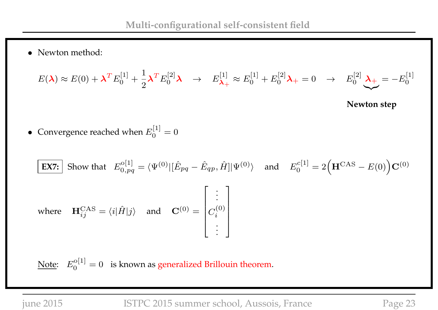• Newton method:

$$
E(\lambda) \approx E(0) + \lambda^T E_0^{[1]} + \frac{1}{2} \lambda^T E_0^{[2]} \lambda \rightarrow E_{\lambda_+}^{[1]} \approx E_0^{[1]} + E_0^{[2]} \lambda_+ = 0 \rightarrow E_0^{[2]} \lambda_+ = -E_0^{[1]}
$$

**Newton step**

• Convergence reached when  $E_0^{[1]}$  $\binom{1}{0} = 0$ 

$$
\begin{aligned}\n\boxed{\text{EX7:}} \quad \text{Show that} \quad E_{0,pq}^{o[1]} &= \langle \Psi^{(0)} | [\hat{E}_{pq} - \hat{E}_{qp}, \hat{H}] | \Psi^{(0)} \rangle \quad \text{and} \quad E_0^{c[1]} = 2 \Big( \mathbf{H}^{\text{CAS}} - E(0) \Big) \mathbf{C}^{(0)} \\
\text{where} \quad \mathbf{H}_{ij}^{\text{CAS}} &= \langle i | \hat{H} | j \rangle \quad \text{and} \quad \mathbf{C}^{(0)} = \begin{bmatrix} \vdots \\ C_i^{(0)} \\ \vdots \end{bmatrix}\n\end{aligned}
$$

Note:  $E_0^{\rm o[1]}$  $\mathcal{L}_0^{[0]1]} = 0$  is known as generalized Brillouin theorem.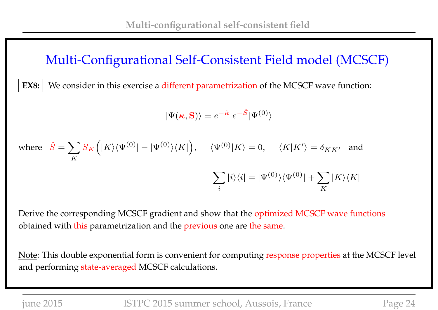#### Multi-Configurational Self-Consistent Field model (MCSCF)

**EX8:** We consider in this exercise a different parametrization of the MCSCF wave function:

$$
|\Psi(\mathbf{\kappa},\mathbf{S})\rangle=e^{-\hat{\kappa}}\;e^{-\hat{S}}|\Psi^{(0)}\rangle
$$

where 
$$
\hat{S} = \sum_{K} S_K (|K\rangle \langle \Psi^{(0)}| - |\Psi^{(0)}\rangle \langle K|), \quad \langle \Psi^{(0)}|K\rangle = 0, \quad \langle K|K'\rangle = \delta_{KK'}
$$
 and  

$$
\sum_{i} |i\rangle \langle i| = |\Psi^{(0)}\rangle \langle \Psi^{(0)}| + \sum_{K} |K\rangle \langle K|
$$

Derive the corresponding MCSCF gradient and show that the optimized MCSCF wave functions obtained with this parametrization and the previous one are the same.

Note: This double exponential form is convenient for computing response properties at the MCSCF level and performing state-averaged MCSCF calculations.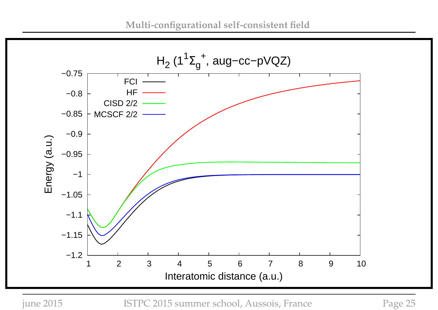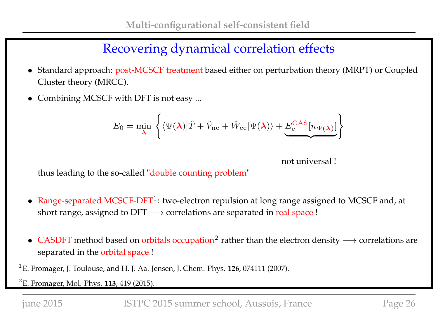### Recovering dynamical correlation effects

- Standard approach: post-MCSCF treatment based either on perturbation theory (MRPT) or Coupled Cluster theory (MRCC).
- Combining MCSCF with DFT is not easy ...

$$
E_0 = \min_{\lambda} \left\{ \langle \Psi(\lambda) | \hat{T} + \hat{V}_{\text{ne}} + \hat{W}_{\text{ee}} | \Psi(\lambda) \rangle + \underbrace{E_c^{\text{CAS}}[n_{\Psi(\lambda)}]} \right\}
$$

not universal !

thus leading to the so-called "double counting problem"

- Range-separated MCSCF-DFT<sup>1</sup>: two-electron repulsion at long range assigned to MCSCF and, at short range, assigned to DFT  $→$  correlations are separated in real space !
- CASDFT method based on orbitals occupation<sup>2</sup> rather than the electron density  $\longrightarrow$  correlations are separated in the orbital space !
- 1 E. Fromager, J. Toulouse, and H. J. Aa. Jensen, J. Chem. Phys. **126**, 074111 (2007).

2 E. Fromager, Mol. Phys. **113**, 419 (2015).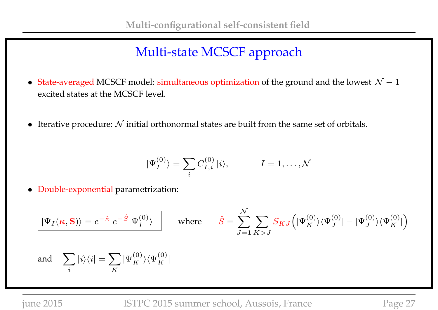## Multi-state MCSCF approach

- State-averaged MCSCF model: simultaneous optimization of the ground and the lowest  $\mathcal{N} 1$ excited states at the MCSCF level.
- Iterative procedure:  $N$  initial orthonormal states are built from the same set of orbitals.

$$
|\Psi_I^{(0)}\rangle = \sum_i C_{I,i}^{(0)} |i\rangle, \qquad I = 1, \dots, \mathcal{N}
$$

• Double-exponential parametrization:

$$
\boxed{|\Psi_I(\kappa, \mathbf{S})\rangle = e^{-\hat{\kappa}} e^{-\hat{S}} |\Psi_I^{(0)}\rangle \qquad \text{where} \qquad \hat{S} = \sum_{J=1}^{\mathcal{N}} \sum_{K>J} S_{KJ} (|\Psi_K^{(0)}\rangle \langle \Psi_J^{(0)}| - |\Psi_J^{(0)}\rangle \langle \Psi_K^{(0)}|)}
$$
\nand\n
$$
\sum_i |i\rangle \langle i| = \sum_K |\Psi_K^{(0)}\rangle \langle \Psi_K^{(0)}|
$$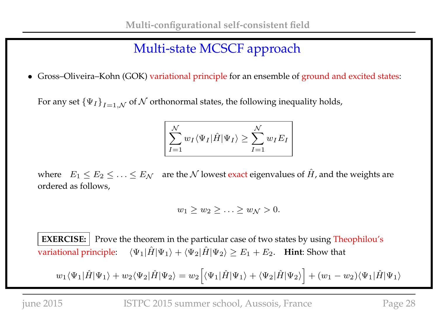## Multi-state MCSCF approach

• Gross–Oliveira–Kohn (GOK) variational principle for an ensemble of ground and excited states:

For any set  $\left\{\Psi_{I}\right\}_{I=1,\mathcal{N}}$  of  $\mathcal N$  orthonormal states, the following inequality holds,

$$
\sum_{I=1}^{N} w_I \langle \Psi_I | \hat{H} | \Psi_I \rangle \ge \sum_{I=1}^{N} w_I E_I
$$

where  $E_1 \le E_2 \le \ldots \le E_N$  are the N lowest exact eigenvalues of  $\hat{H}$ , and the weights are ordered as follows,

$$
w_1 \geq w_2 \geq \ldots \geq w_{\mathcal{N}} > 0.
$$

**EXERCISE:** Prove the theorem in the particular case of two states by using Theophilou's variational principle:  $\langle \Psi_1 | \hat{H} | \Psi_1 \rangle + \langle \Psi_2 | \hat{H} | \Psi_2 \rangle \ge E_1 + E_2$ . **Hint**: Show that

 $w_1\langle\Psi_1|\hat{H}|\Psi_1\rangle + w_2\langle\Psi_2|\hat{H}|\Psi_2\rangle = w_2\Big[\langle\Psi_1|\hat{H}|\Psi_1\rangle + \langle\Psi_2|\hat{H}|\Psi_2\rangle\Big] + (w_1-w_2)\langle\Psi_1|\hat{H}|\Psi_1\rangle$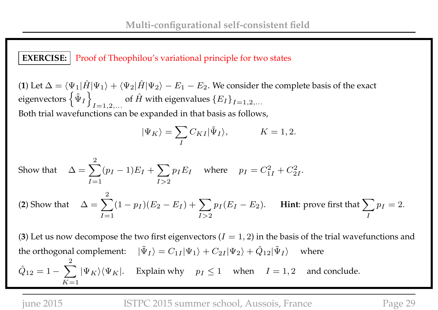**EXERCISE:** Proof of Theophilou's variational principle for two states

(**1**) Let  $\Delta = \langle \Psi_1 | \hat{H} | \Psi_1 \rangle + \langle \Psi_2 | \hat{H} | \Psi_2 \rangle - E_1 - E_2$ . We consider the complete basis of the exact eigenvectors  $\left\{ \tilde{\Psi}_I\right.$ o  $I=1,2,...$ of  $\hat{H}$  with eigenvalues  $\{E_I\}_{I=1,2,...}$ Both trial wavefunctions can be expanded in that basis as follows,

$$
|\Psi_K\rangle = \sum_{I} C_{KI} |\tilde{\Psi}_I\rangle, \qquad K = 1, 2.
$$

Show that 
$$
\Delta = \sum_{I=1}^{2} (p_I - 1) E_I + \sum_{I>2} p_I E_I \text{ where } p_I = C_{1I}^2 + C_{2I}^2.
$$
  
(2) Show that 
$$
\Delta = \sum_{I=1}^{2} (1 - p_I)(E_2 - E_I) + \sum_{I>2} p_I (E_I - E_2).
$$
 Hint: prove first that  $\sum_{I} p_I = 2.$ 

(3) Let us now decompose the two first eigenvectors  $(I = 1, 2)$  in the basis of the trial wavefunctions and the orthogonal complement:  $|\tilde{\Psi}_I\rangle = C_{1I} |\Psi_1\rangle + C_{2I} |\Psi_2\rangle + \hat{Q}_{12} |\tilde{\Psi}_I\rangle$  where  $\hat{Q}_{12} = 1 - \sum |\Psi_K\rangle\langle\Psi_K|$ . Explain why  $p_I \le 1$  when  $I = 1, 2$  and conclude. 2  $K=1$